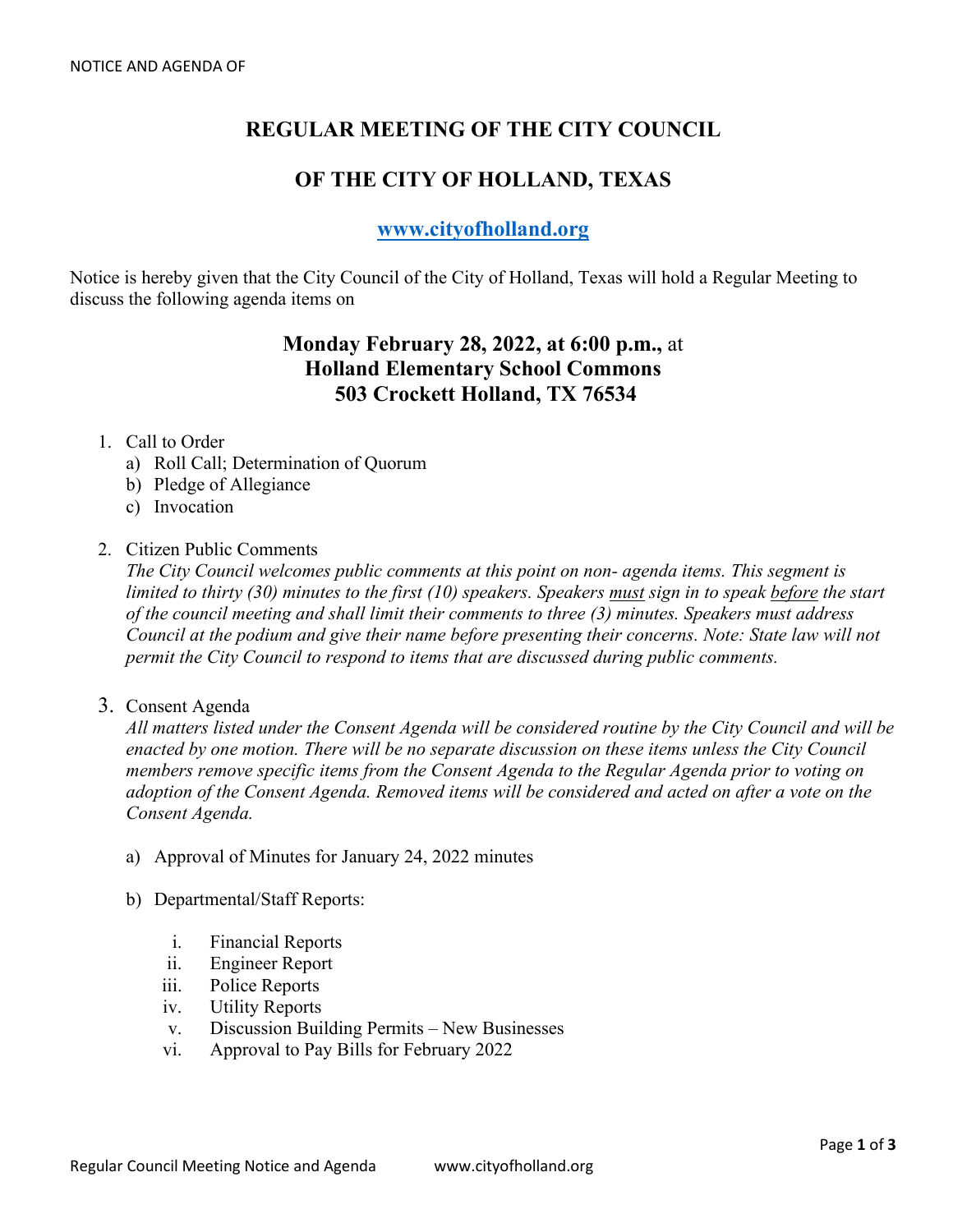# **REGULAR MEETING OF THE CITY COUNCIL**

## **OF THE CITY OF HOLLAND, TEXAS**

## **[www.cityofholland.org](http://www.cityofholland.org/)**

Notice is hereby given that the City Council of the City of Holland, Texas will hold a Regular Meeting to discuss the following agenda items on

## **Monday February 28, 2022, at 6:00 p.m.,** at **Holland Elementary School Commons 503 Crockett Holland, TX 76534**

#### 1. Call to Order

- a) Roll Call; Determination of Quorum
- b) Pledge of Allegiance
- c) Invocation
- 2. Citizen Public Comments

*The City Council welcomes public comments at this point on non- agenda items. This segment is limited to thirty (30) minutes to the first (10) speakers. Speakers must sign in to speak before the start of the council meeting and shall limit their comments to three (3) minutes. Speakers must address Council at the podium and give their name before presenting their concerns. Note: State law will not permit the City Council to respond to items that are discussed during public comments.* 

3. Consent Agenda

*All matters listed under the Consent Agenda will be considered routine by the City Council and will be enacted by one motion. There will be no separate discussion on these items unless the City Council members remove specific items from the Consent Agenda to the Regular Agenda prior to voting on adoption of the Consent Agenda. Removed items will be considered and acted on after a vote on the Consent Agenda.* 

- a) Approval of Minutes for January 24, 2022 minutes
- b) Departmental/Staff Reports:
	- i. Financial Reports
	- ii. Engineer Report
	- iii. Police Reports
	- iv. Utility Reports
	- v. Discussion Building Permits New Businesses
	- vi. Approval to Pay Bills for February 2022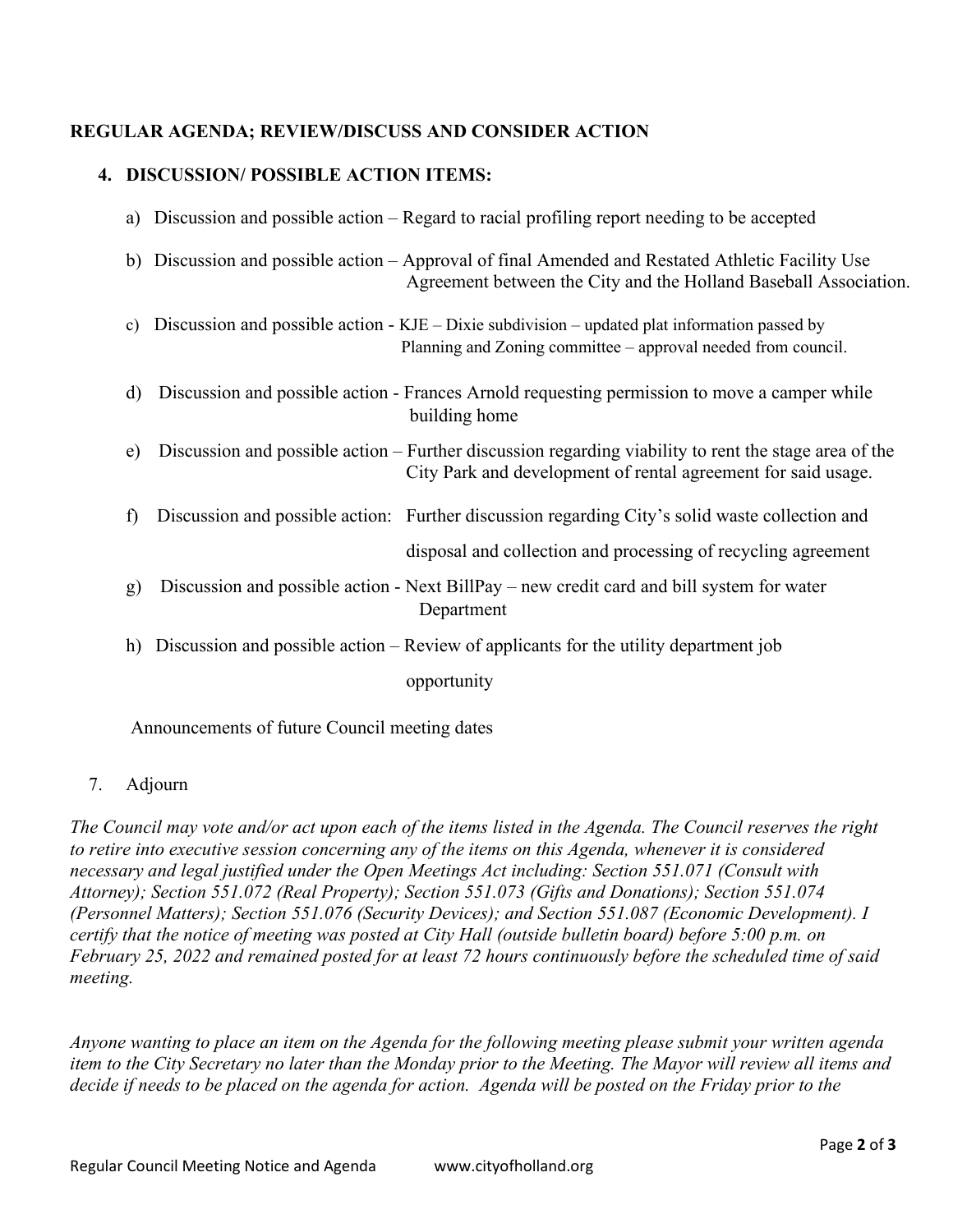### **REGULAR AGENDA; REVIEW/DISCUSS AND CONSIDER ACTION**

### **4. DISCUSSION/ POSSIBLE ACTION ITEMS:**

|              | a) Discussion and possible action – Regard to racial profiling report needing to be accepted                                                                           |
|--------------|------------------------------------------------------------------------------------------------------------------------------------------------------------------------|
|              | b) Discussion and possible action – Approval of final Amended and Restated Athletic Facility Use<br>Agreement between the City and the Holland Baseball Association.   |
| c)           | Discussion and possible action - $KJE - Dixie$ subdivision – updated plat information passed by<br>Planning and Zoning committee – approval needed from council.       |
| d)           | Discussion and possible action - Frances Arnold requesting permission to move a camper while<br>building home                                                          |
| e)           | Discussion and possible action – Further discussion regarding viability to rent the stage area of the<br>City Park and development of rental agreement for said usage. |
| $\mathbf{f}$ | Discussion and possible action: Further discussion regarding City's solid waste collection and                                                                         |
|              | disposal and collection and processing of recycling agreement                                                                                                          |
| g)           | Discussion and possible action - Next BillPay – new credit card and bill system for water<br>Department                                                                |
|              | h) Discussion and possible action – Review of applicants for the utility department job                                                                                |
|              | opportunity                                                                                                                                                            |
|              |                                                                                                                                                                        |

Announcements of future Council meeting dates

### 7. Adjourn

*The Council may vote and/or act upon each of the items listed in the Agenda. The Council reserves the right to retire into executive session concerning any of the items on this Agenda, whenever it is considered necessary and legal justified under the Open Meetings Act including: Section 551.071 (Consult with Attorney); Section 551.072 (Real Property); Section 551.073 (Gifts and Donations); Section 551.074 (Personnel Matters); Section 551.076 (Security Devices); and Section 551.087 (Economic Development). I certify that the notice of meeting was posted at City Hall (outside bulletin board) before 5:00 p.m. on February 25, 2022 and remained posted for at least 72 hours continuously before the scheduled time of said meeting.*

*Anyone wanting to place an item on the Agenda for the following meeting please submit your written agenda item to the City Secretary no later than the Monday prior to the Meeting. The Mayor will review all items and*  decide if needs to be placed on the agenda for action. Agenda will be posted on the Friday prior to the